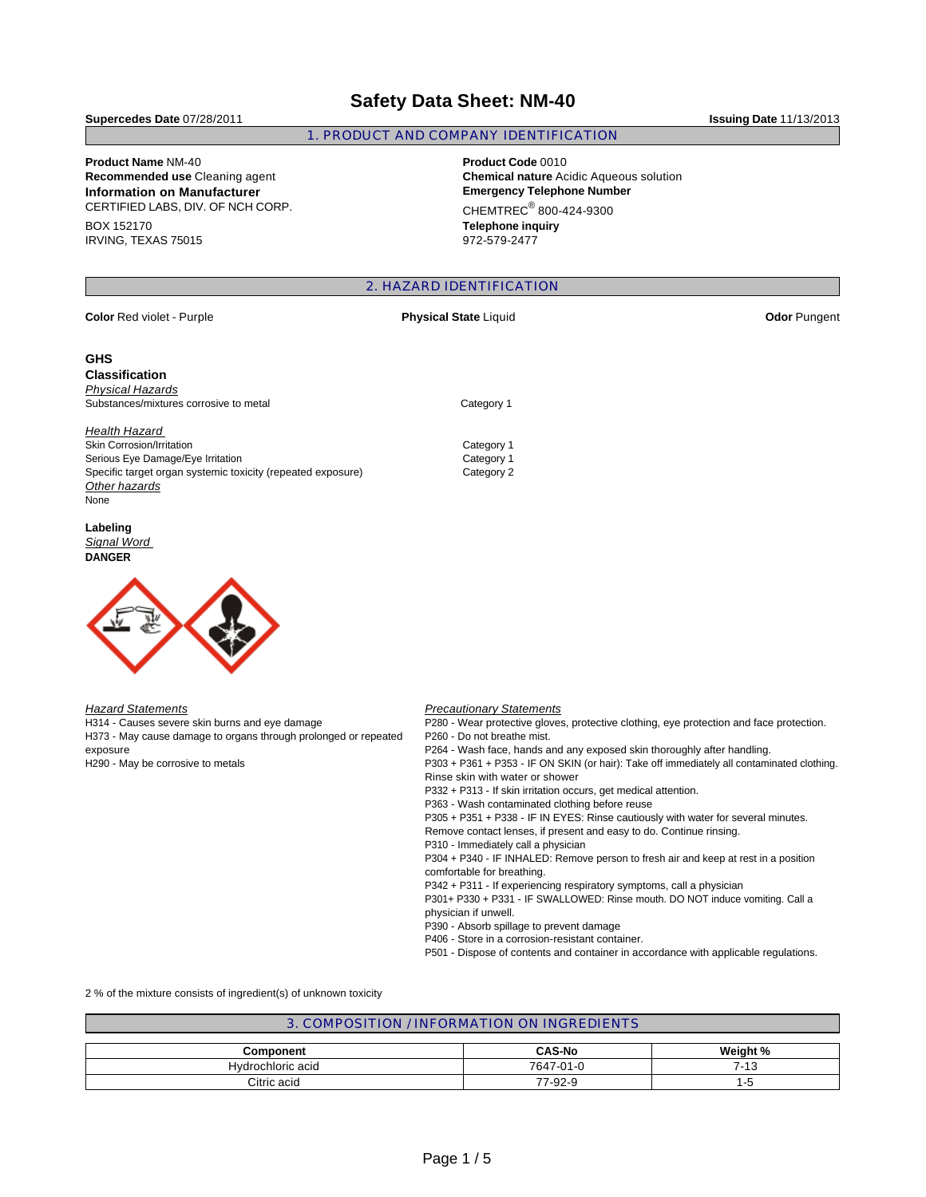## **Safety Data Sheet: NM-40**

**Supercedes Date** 07/28/2011 **Issuing Date** 11/13/2013

# **Product Name** NM-40 **Product Code** 0010

CERTIFIED LABS, DIV. OF NCH CORP. BOX 152170

IRVING, TEXAS 75015

#### 1. PRODUCT AND COMPANY IDENTIFICATION

**Chemical nature** Acidic Aqueous solution **Information on Manufacturer Emergency Telephone Number**  $CHEMTREC<sup>®</sup> 800-424-9300$ **Telephone inquiry** 972-579-2477

#### 2. HAZARD IDENTIFICATION

| <b>Color Red violet - Purple</b>                                | <b>Physical State Liquid</b>                                                            | <b>Odor Pungent</b> |
|-----------------------------------------------------------------|-----------------------------------------------------------------------------------------|---------------------|
| <b>GHS</b>                                                      |                                                                                         |                     |
| <b>Classification</b>                                           |                                                                                         |                     |
| <b>Physical Hazards</b>                                         |                                                                                         |                     |
| Substances/mixtures corrosive to metal                          | Category 1                                                                              |                     |
| Health Hazard                                                   |                                                                                         |                     |
| <b>Skin Corrosion/Irritation</b>                                | Category 1                                                                              |                     |
| Serious Eye Damage/Eye Irritation                               | Category 1                                                                              |                     |
| Specific target organ systemic toxicity (repeated exposure)     | Category 2                                                                              |                     |
| Other hazards                                                   |                                                                                         |                     |
| None                                                            |                                                                                         |                     |
| Labeling                                                        |                                                                                         |                     |
| Signal Word                                                     |                                                                                         |                     |
| <b>DANGER</b>                                                   |                                                                                         |                     |
|                                                                 |                                                                                         |                     |
| <b>Hazard Statements</b>                                        | <b>Precautionary Statements</b>                                                         |                     |
| H314 - Causes severe skin burns and eye damage                  | P280 - Wear protective gloves, protective clothing, eye protection and face protection. |                     |
| H373 - May cause damage to organs through prolonged or repeated | P260 - Do not breathe mist.                                                             |                     |
| exposure                                                        | P264 - Wash face, hands and any exposed skin thoroughly after handling.                 |                     |

H290 - May be corrosive to metals

P264 - Wash face, hands and any exposed skin thoroughly after handling. P303 + P361 + P353 - IF ON SKIN (or hair): Take off immediately all contaminated clothing. Rinse skin with water or shower P332 + P313 - If skin irritation occurs, get medical attention. P363 - Wash contaminated clothing before reuse P305 + P351 + P338 - IF IN EYES: Rinse cautiously with water for several minutes. Remove contact lenses, if present and easy to do. Continue rinsing. P310 - Immediately call a physician P304 + P340 - IF INHALED: Remove person to fresh air and keep at rest in a position comfortable for breathing. P342 + P311 - If experiencing respiratory symptoms, call a physician P301+ P330 + P331 - IF SWALLOWED: Rinse mouth. DO NOT induce vomiting. Call a physician if unwell. P390 - Absorb spillage to prevent damage P406 - Store in a corrosion-resistant container. P501 - Dispose of contents and container in accordance with applicable regulations.

2 % of the mixture consists of ingredient(s) of unknown toxicity

| 3. COMPOSITION / INFORMATION ON INGREDIENTS |               |          |  |  |
|---------------------------------------------|---------------|----------|--|--|
|                                             |               |          |  |  |
| Component                                   | <b>CAS-No</b> | Weight % |  |  |
| Hydrochloric acid                           | 7647-01-0     | 7-13     |  |  |
| Citric acid                                 | 77-92-9       | ל-ו      |  |  |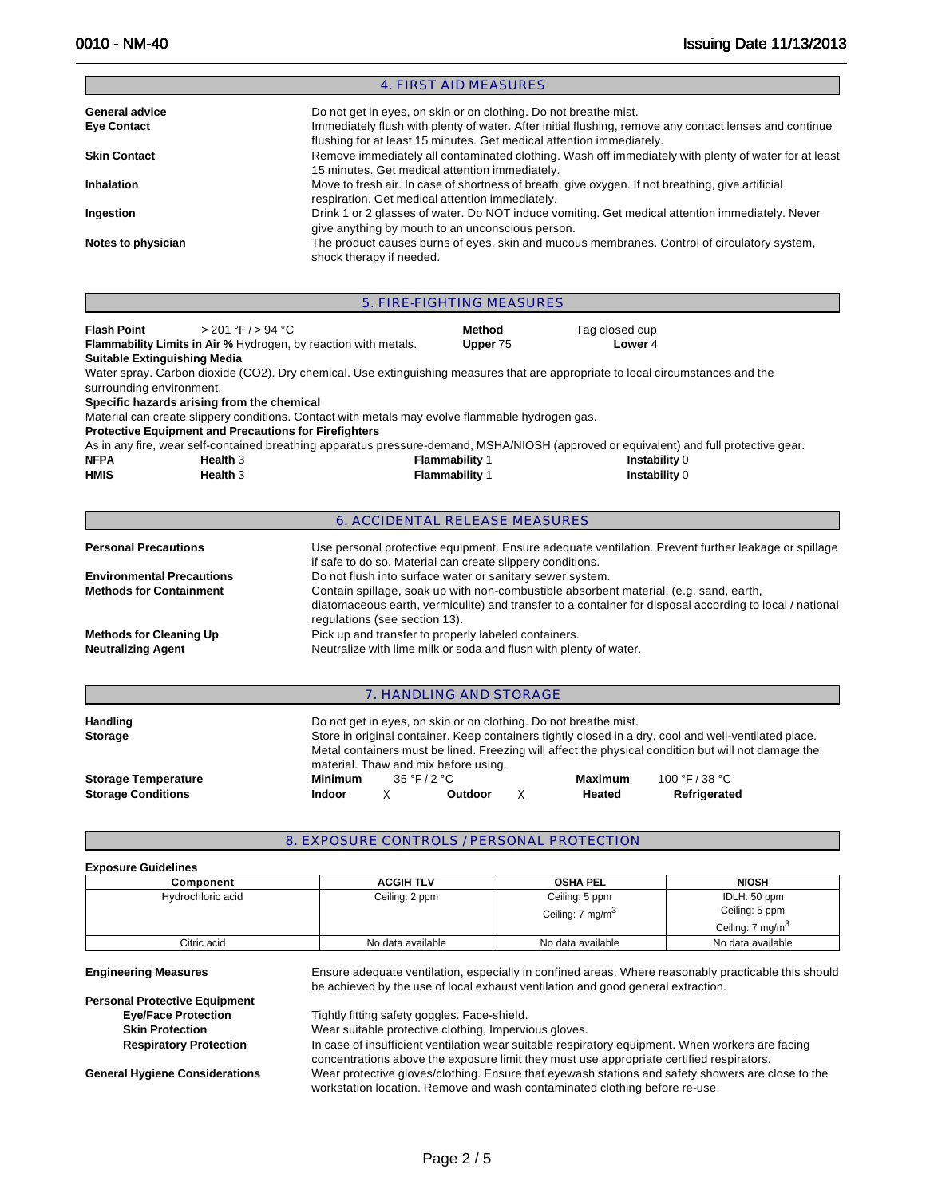Е

|                     | 4. FIRST AID MEASURES                                                                                                                                                          |
|---------------------|--------------------------------------------------------------------------------------------------------------------------------------------------------------------------------|
| General advice      | Do not get in eyes, on skin or on clothing. Do not breathe mist.                                                                                                               |
| <b>Eye Contact</b>  | Immediately flush with plenty of water. After initial flushing, remove any contact lenses and continue<br>flushing for at least 15 minutes. Get medical attention immediately. |
| <b>Skin Contact</b> | Remove immediately all contaminated clothing. Wash off immediately with plenty of water for at least<br>15 minutes. Get medical attention immediately.                         |
| <b>Inhalation</b>   | Move to fresh air. In case of shortness of breath, give oxygen. If not breathing, give artificial<br>respiration. Get medical attention immediately.                           |
| Ingestion           | Drink 1 or 2 glasses of water. Do NOT induce vomiting. Get medical attention immediately. Never<br>give anything by mouth to an unconscious person.                            |
| Notes to physician  | The product causes burns of eyes, skin and mucous membranes. Control of circulatory system,<br>shock therapy if needed.                                                        |

|                                                                    |                                                                                                            |                                                                                                                           | 5. FIRE-FIGHTING MEASURES        |                                                                                                                                                                                                              |  |
|--------------------------------------------------------------------|------------------------------------------------------------------------------------------------------------|---------------------------------------------------------------------------------------------------------------------------|----------------------------------|--------------------------------------------------------------------------------------------------------------------------------------------------------------------------------------------------------------|--|
| <b>Flash Point</b><br><b>Suitable Extinguishing Media</b>          | > 201 °F / > 94 °C                                                                                         | <b>Flammability Limits in Air % Hydrogen, by reaction with metals.</b>                                                    | Method<br>Upper 75               | Tag closed cup<br>Lower 4                                                                                                                                                                                    |  |
| surrounding environment.                                           |                                                                                                            |                                                                                                                           |                                  | Water spray. Carbon dioxide (CO2). Dry chemical. Use extinguishing measures that are appropriate to local circumstances and the                                                                              |  |
|                                                                    | Specific hazards arising from the chemical<br><b>Protective Equipment and Precautions for Firefighters</b> | Material can create slippery conditions. Contact with metals may evolve flammable hydrogen gas.                           |                                  |                                                                                                                                                                                                              |  |
| <b>NFPA</b><br><b>HMIS</b>                                         | Health 3<br>Health <sub>3</sub>                                                                            |                                                                                                                           | Flammability 1<br>Flammability 1 | As in any fire, wear self-contained breathing apparatus pressure-demand, MSHA/NIOSH (approved or equivalent) and full protective gear.<br>Instability 0<br>Instability 0                                     |  |
|                                                                    |                                                                                                            |                                                                                                                           | 6. ACCIDENTAL RELEASE MEASURES   |                                                                                                                                                                                                              |  |
| <b>Personal Precautions</b>                                        |                                                                                                            | if safe to do so. Material can create slippery conditions.                                                                |                                  | Use personal protective equipment. Ensure adequate ventilation. Prevent further leakage or spillage                                                                                                          |  |
| <b>Environmental Precautions</b><br><b>Methods for Containment</b> |                                                                                                            | Do not flush into surface water or sanitary sewer system.<br>regulations (see section 13).                                |                                  | Contain spillage, soak up with non-combustible absorbent material, (e.g. sand, earth,<br>diatomaceous earth, vermiculite) and transfer to a container for disposal according to local / national             |  |
| <b>Methods for Cleaning Up</b><br><b>Neutralizing Agent</b>        |                                                                                                            | Pick up and transfer to properly labeled containers.<br>Neutralize with lime milk or soda and flush with plenty of water. |                                  |                                                                                                                                                                                                              |  |
|                                                                    |                                                                                                            |                                                                                                                           | 7. HANDLING AND STORAGE          |                                                                                                                                                                                                              |  |
| <b>Handling</b><br><b>Storage</b>                                  |                                                                                                            | Do not get in eyes, on skin or on clothing. Do not breathe mist.<br>material Thaw and mix hefore using                    |                                  | Store in original container. Keep containers tightly closed in a dry, cool and well-ventilated place.<br>Metal containers must be lined. Freezing will affect the physical condition but will not damage the |  |

|                           |         |              | material. Thaw and this before using. |         |                |  |
|---------------------------|---------|--------------|---------------------------------------|---------|----------------|--|
| Storage Temperature       | Minimum | 35 °F / 2 °C |                                       | Maximum | 100 °F / 38 °C |  |
| <b>Storage Conditions</b> | Indoor  |              | Outdoor                               | Heated  | Refrigerated   |  |

#### 8. EXPOSURE CONTROLS / PERSONAL PROTECTION

#### **Exposure Guidelines**

| Component         | <b>ACGIH TLV</b>  | <b>OSHA PEL</b>              | <b>NIOSH</b>                 |
|-------------------|-------------------|------------------------------|------------------------------|
| Hydrochloric acid | Ceiling: 2 ppm    | Ceiling: 5 ppm               | IDLH: 50 ppm                 |
|                   |                   | Ceiling: 7 mg/m <sup>3</sup> | Ceiling: 5 ppm               |
|                   |                   |                              | Ceiling: 7 mg/m <sup>3</sup> |
| Citric acid       | No data available | No data available            | No data available            |

**Engineering Measures** Ensure adequate ventilation, especially in confined areas. Where reasonably practicable this should be achieved by the use of local exhaust ventilation and good general extraction.

**Personal Protective Equipment Eye/Face Protection Tightly fitting safety goggles. Face-shield.**<br> **Skin Protection Wear suitable protective clothing, Impervional** 

Wear suitable protective clothing, Impervious gloves.

**Respiratory Protection** In case of insufficient ventilation wear suitable respiratory equipment. When workers are facing concentrations above the exposure limit they must use appropriate certified respirators. **General Hygiene Considerations** Wear protective gloves/clothing. Ensure that eyewash stations and safety showers are close to the workstation location. Remove and wash contaminated clothing before re-use.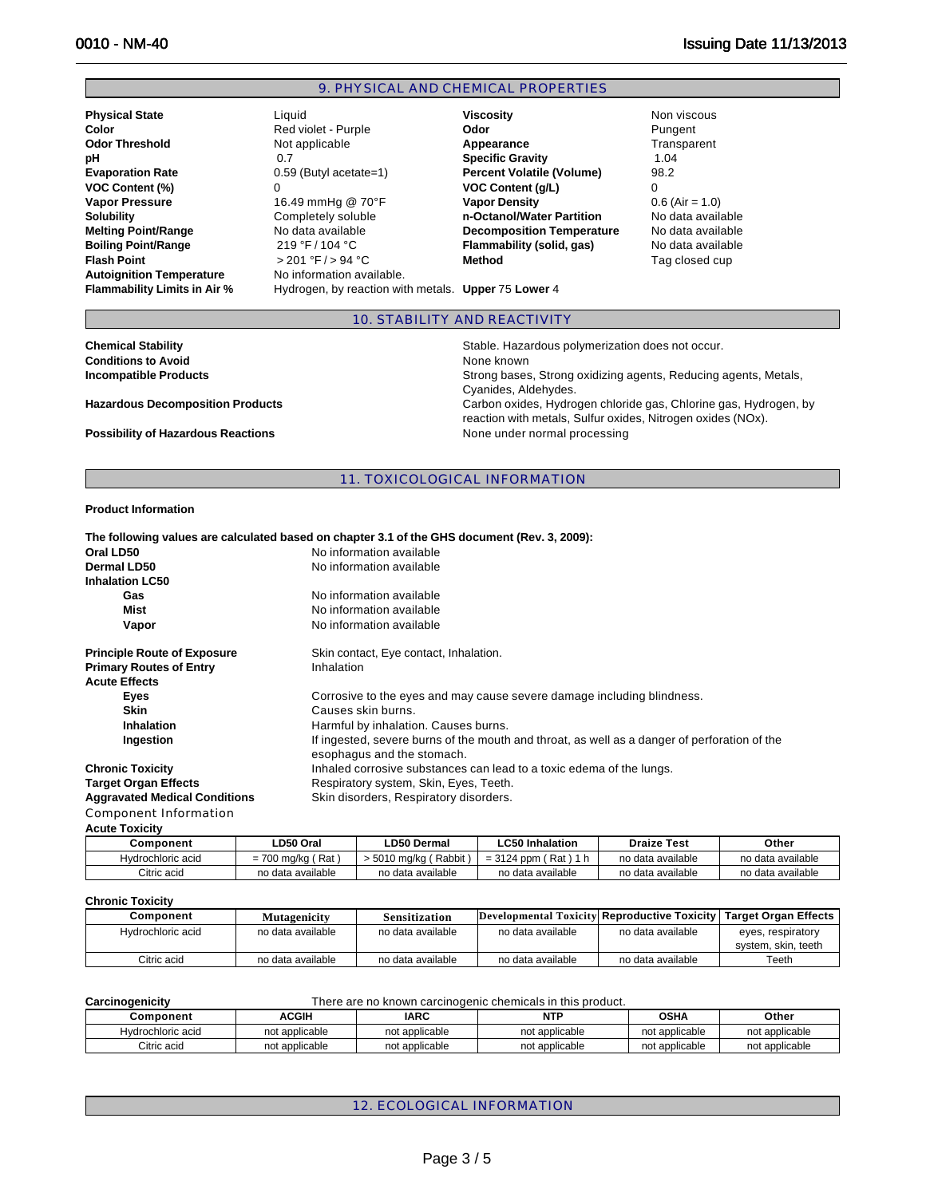#### 9. PHYSICAL AND CHEMICAL PROPERTIES

**Physical State** Liquid **Viscosity** Non viscous Autoignition Temperature **No information available.** 

 $> 201 °F / > 94 °C$  **Method** 

**Color Color 2008** Red violet - Purple **Color 2008** Pungent **Odor Threshold Not applicable <b>Appearance Appearance Transparent pH** 0.7 **Specific Gravity** 1.04 **Percent Volatile (Volume) VOC Content (%)** 0 **VOC Content (g/L)** 0 **Vapor Pressure** 16.49 mmHg @ 70°F **Vapor Density 16.49 mmHg @ 70°F Vapor Density 1.6 (Air = 1.0)**<br> **Solubility Completely soluble 1.4 m-Octanol/Water Partition** No data availa Completely soluble **n-Octanol/Water Partition** No data available **Melting Point/Range No data available <b>Decomposition Temperature** No data available<br>**Boiling Point/Range** 219 °F/104 °C **Flammability (solid, gas)** No data available **Boiling Point/Range** 219 °F / 104 °C **Flammability (solid, gas)** No data available<br>**Flash Point Provides All Accord Flash Point Tag closed cup** 

**Flammability Limits in Air %** Hydrogen, by reaction with metals. **Upper** 75 **Lower** 4

#### 10. STABILITY AND REACTIVITY

| <b>Chemical Stability</b>                 | Stable. Hazardous polymerization does not occur.                                                                                |
|-------------------------------------------|---------------------------------------------------------------------------------------------------------------------------------|
| <b>Conditions to Avoid</b>                | None known                                                                                                                      |
| <b>Incompatible Products</b>              | Strong bases, Strong oxidizing agents, Reducing agents, Metals,                                                                 |
|                                           | Cvanides, Aldehydes,                                                                                                            |
| <b>Hazardous Decomposition Products</b>   | Carbon oxides, Hydrogen chloride gas, Chlorine gas, Hydrogen, by<br>reaction with metals, Sulfur oxides, Nitrogen oxides (NOx). |
| <b>Possibility of Hazardous Reactions</b> | None under normal processing                                                                                                    |
|                                           |                                                                                                                                 |

#### 11. TOXICOLOGICAL INFORMATION

#### **Product Information**

|                                      | The following values are calculated based on chapter 3.1 of the GHS document (Rev. 3, 2009):                               |
|--------------------------------------|----------------------------------------------------------------------------------------------------------------------------|
| Oral LD50                            | No information available                                                                                                   |
| Dermal LD50                          | No information available                                                                                                   |
| <b>Inhalation LC50</b>               |                                                                                                                            |
| Gas                                  | No information available                                                                                                   |
| Mist                                 | No information available                                                                                                   |
| Vapor                                | No information available                                                                                                   |
| <b>Principle Route of Exposure</b>   | Skin contact, Eye contact, Inhalation.                                                                                     |
| <b>Primary Routes of Entry</b>       | Inhalation                                                                                                                 |
| <b>Acute Effects</b>                 |                                                                                                                            |
| Eyes                                 | Corrosive to the eyes and may cause severe damage including blindness.                                                     |
| <b>Skin</b>                          | Causes skin burns.                                                                                                         |
| Inhalation                           | Harmful by inhalation. Causes burns.                                                                                       |
| Ingestion                            | If ingested, severe burns of the mouth and throat, as well as a danger of perforation of the<br>esophagus and the stomach. |
| <b>Chronic Toxicity</b>              | Inhaled corrosive substances can lead to a toxic edema of the lungs.                                                       |
| <b>Target Organ Effects</b>          | Respiratory system, Skin, Eyes, Teeth.                                                                                     |
| <b>Aggravated Medical Conditions</b> | Skin disorders, Respiratory disorders.                                                                                     |
| Component Information                |                                                                                                                            |

### **Acute Toxicity**

| Component         | .D50 Oral           | <b>_D50 Dermal</b>     | ∟C50 Inhalation             | <b>Draize Test</b> | Other             |
|-------------------|---------------------|------------------------|-----------------------------|--------------------|-------------------|
| Hydrochloric acid | (Rat<br>= 700 ma/ka | Rabbit<br>∙ 5010 ma⁄ka | $= 3124$ ppm (<br>Rat ) 1 h | no data available  | no data available |
| Citric acid       | no data available   | no data available      | no data available           | no data available  | no data available |

#### **Chronic Toxicity**

| Component         | Mutagenicity      | Sensitization     | Developmental Toxicity Reproductive Toxicity   Target Organ Effects |                   |                                          |
|-------------------|-------------------|-------------------|---------------------------------------------------------------------|-------------------|------------------------------------------|
| Hydrochloric acid | no data available | no data available | no data available                                                   | no data available | eyes, respiratory<br>system, skin, teeth |
| Citric acid       | no data available | no data available | no data available                                                   | no data available | Teeth                                    |

| Carcinogenicity   |                |                | There are no known carcinogenic chemicals in this product. |                |                |
|-------------------|----------------|----------------|------------------------------------------------------------|----------------|----------------|
| Component         | <b>ACGIH</b>   | <b>IARC</b>    | <b>NTP</b>                                                 | <b>OSHA</b>    | Other          |
| Hydrochloric acid | not applicable | not applicable | not applicable                                             | not applicable | not applicable |
| Citric acid       | not applicable | not applicable | not applicable                                             | not applicable | not applicable |

12. ECOLOGICAL INFORMATION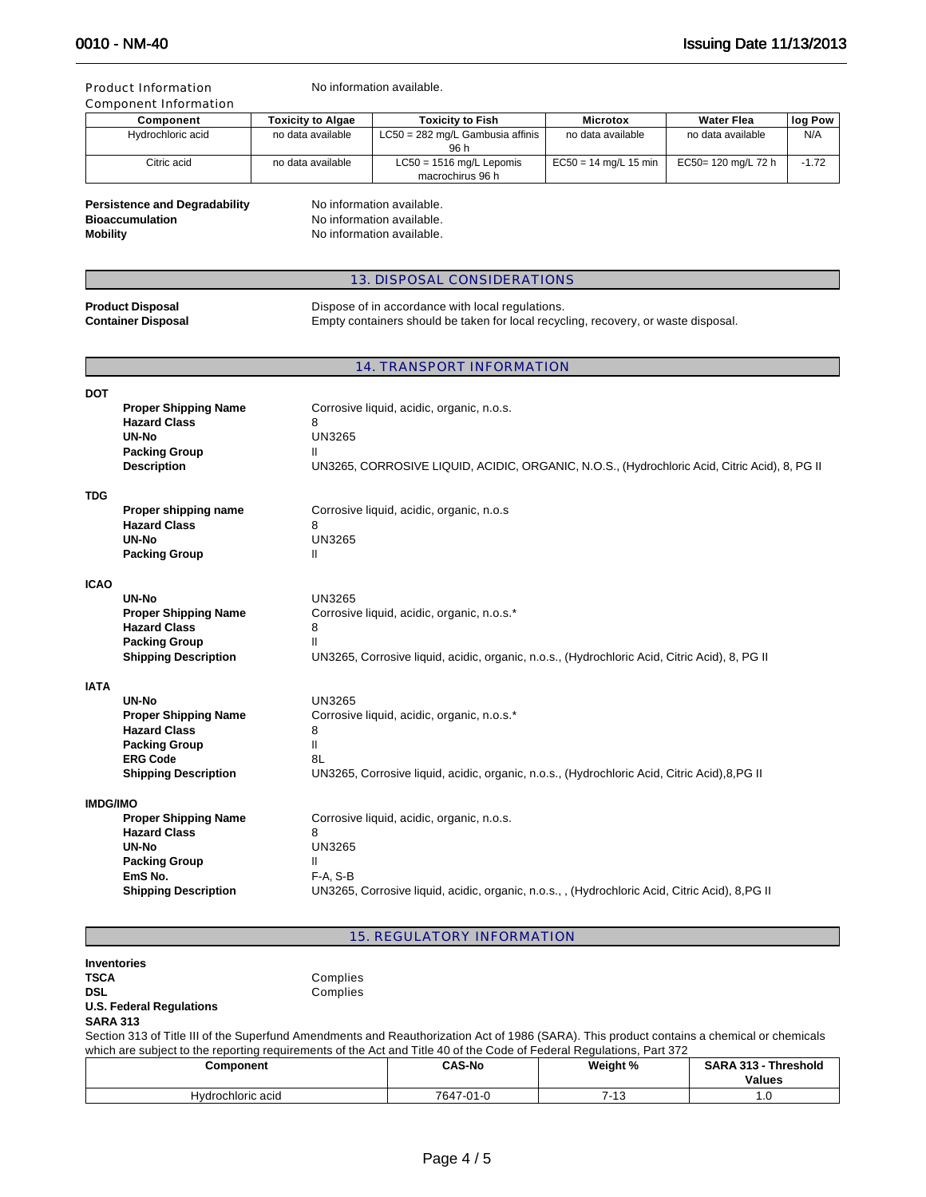#### Product Information

|  | No information available. |  |
|--|---------------------------|--|
|  |                           |  |

| Component                                                                                                                | <b>Toxicity to Algae</b> | <b>Toxicity to Fish</b>          | <b>Microtox</b>         |                     | log Pow |
|--------------------------------------------------------------------------------------------------------------------------|--------------------------|----------------------------------|-------------------------|---------------------|---------|
| Hydrochloric acid                                                                                                        | no data available        | LC50 = 282 mg/L Gambusia affinis | no data available       | no data available   | N/A     |
|                                                                                                                          |                          | 96 h                             |                         |                     |         |
| Citric acid                                                                                                              | no data available        | $LC50 = 1516$ mg/L Lepomis       | $EC50 = 14$ mg/L 15 min | EC50= 120 mg/L 72 h | $-172$  |
|                                                                                                                          |                          | macrochirus 96 h                 |                         |                     |         |
| <b>Persistence and Degradability</b><br>No information available.<br><b>Bioaccumulation</b><br>No information available. |                          |                                  |                         |                     |         |

**Mobility Mobility No information available.** 

#### 13. DISPOSAL CONSIDERATIONS

| <b>Product Disposal</b>   |
|---------------------------|
| <b>Container Disposal</b> |

Dispose of in accordance with local regulations. Empty containers should be taken for local recycling, recovery, or waste disposal.

#### 14. TRANSPORT INFORMATION

| <b>DOT</b>      |                                            |                                                                                                    |
|-----------------|--------------------------------------------|----------------------------------------------------------------------------------------------------|
|                 | <b>Proper Shipping Name</b>                | Corrosive liquid, acidic, organic, n.o.s.                                                          |
|                 | <b>Hazard Class</b>                        | 8                                                                                                  |
|                 | UN-No                                      | <b>UN3265</b>                                                                                      |
|                 | <b>Packing Group</b><br><b>Description</b> | Ш<br>UN3265, CORROSIVE LIQUID, ACIDIC, ORGANIC, N.O.S., (Hydrochloric Acid, Citric Acid), 8, PG II |
|                 |                                            |                                                                                                    |
| <b>TDG</b>      |                                            |                                                                                                    |
|                 | Proper shipping name                       | Corrosive liquid, acidic, organic, n.o.s                                                           |
|                 | <b>Hazard Class</b>                        | 8                                                                                                  |
|                 | UN-No                                      | <b>UN3265</b>                                                                                      |
|                 | <b>Packing Group</b>                       | Ш                                                                                                  |
| <b>ICAO</b>     |                                            |                                                                                                    |
|                 | UN-No                                      | <b>UN3265</b>                                                                                      |
|                 | <b>Proper Shipping Name</b>                | Corrosive liquid, acidic, organic, n.o.s.*                                                         |
|                 | <b>Hazard Class</b>                        | 8                                                                                                  |
|                 | <b>Packing Group</b>                       | Ш                                                                                                  |
|                 | <b>Shipping Description</b>                | UN3265, Corrosive liquid, acidic, organic, n.o.s., (Hydrochloric Acid, Citric Acid), 8, PG II      |
| <b>IATA</b>     |                                            |                                                                                                    |
|                 | <b>UN-No</b>                               | <b>UN3265</b>                                                                                      |
|                 | <b>Proper Shipping Name</b>                | Corrosive liquid, acidic, organic, n.o.s.*                                                         |
|                 | <b>Hazard Class</b>                        | 8                                                                                                  |
|                 | <b>Packing Group</b>                       | Ш                                                                                                  |
|                 | <b>ERG Code</b>                            | 8L                                                                                                 |
|                 | <b>Shipping Description</b>                | UN3265, Corrosive liquid, acidic, organic, n.o.s., (Hydrochloric Acid, Citric Acid), 8, PG II      |
| <b>IMDG/IMO</b> |                                            |                                                                                                    |
|                 | <b>Proper Shipping Name</b>                | Corrosive liquid, acidic, organic, n.o.s.                                                          |
|                 | <b>Hazard Class</b>                        | 8                                                                                                  |
|                 | UN-No                                      | <b>UN3265</b>                                                                                      |
|                 | <b>Packing Group</b>                       | Ш                                                                                                  |
|                 | EmS No.                                    | $F-A, S-B$                                                                                         |
|                 | <b>Shipping Description</b>                | UN3265, Corrosive liquid, acidic, organic, n.o.s., , (Hydrochloric Acid, Citric Acid), 8, PG II    |
|                 |                                            |                                                                                                    |

15. REGULATORY INFORMATION

| <b>Inventories</b>                                                                                                                         |          |        |          |                      |
|--------------------------------------------------------------------------------------------------------------------------------------------|----------|--------|----------|----------------------|
| <b>TSCA</b>                                                                                                                                | Complies |        |          |                      |
| <b>DSL</b>                                                                                                                                 | Complies |        |          |                      |
| <b>U.S. Federal Regulations</b>                                                                                                            |          |        |          |                      |
| <b>SARA 313</b>                                                                                                                            |          |        |          |                      |
| Section 313 of Title III of the Superfund Amendments and Reauthorization Act of 1986 (SARA). This product contains a chemical or chemicals |          |        |          |                      |
| which are subject to the reporting requirements of the Act and Title 40 of the Code of Federal Regulations, Part 372                       |          |        |          |                      |
| Comnonent                                                                                                                                  |          | CAS-No | Weight % | SARA 313 - Threshold |

| which are subject to the reporting requirements of the Act and Title 40 of the Code of Federal Regulations, Part 372 |               |          |                             |  |
|----------------------------------------------------------------------------------------------------------------------|---------------|----------|-----------------------------|--|
| Component                                                                                                            | <b>CAS-No</b> | Weight % | <b>SARA 313 - Threshold</b> |  |
|                                                                                                                      |               |          | <b>Values</b>               |  |
| Hydrochloric acid                                                                                                    | 7647-01-0     | 7-13     |                             |  |